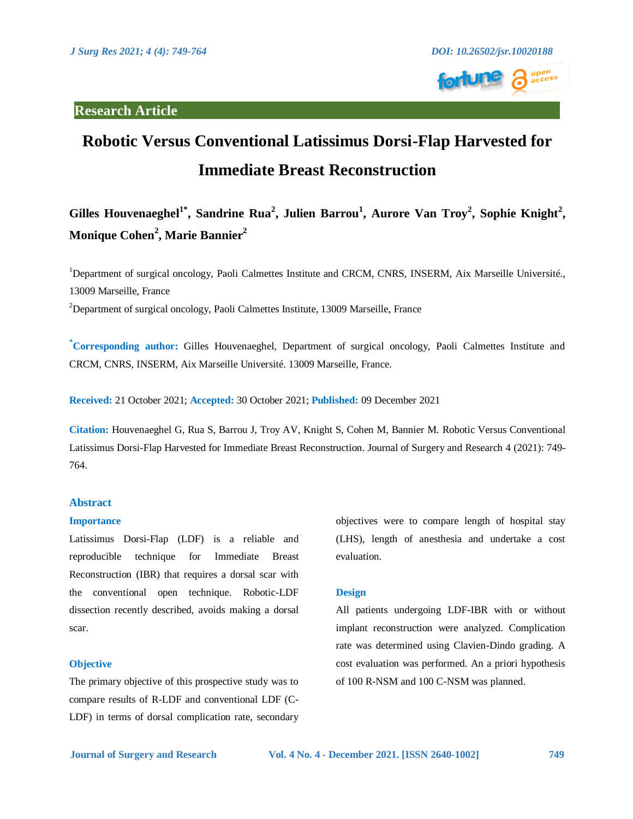

# **Research Article**

# **Robotic Versus Conventional Latissimus Dorsi-Flap Harvested for Immediate Breast Reconstruction**

**Gilles Houvenaeghel1\* , Sandrine Rua<sup>2</sup> , Julien Barrou<sup>1</sup> , Aurore Van Troy<sup>2</sup> , Sophie Knight<sup>2</sup> , Monique Cohen<sup>2</sup> , Marie Bannier<sup>2</sup>**

<sup>1</sup>Department of surgical oncology, Paoli Calmettes Institute and CRCM, CNRS, INSERM, Aix Marseille Université., 13009 Marseille, France

<sup>2</sup>Department of surgical oncology, Paoli Calmettes Institute, 13009 Marseille, France

**\*Corresponding author:** Gilles Houvenaeghel, Department of surgical oncology, Paoli Calmettes Institute and CRCM, CNRS, INSERM, Aix Marseille Université. 13009 Marseille, France.

**Received:** 21 October 2021; **Accepted:** 30 October 2021; **Published:** 09 December 2021

**Citation:** Houvenaeghel G, Rua S, Barrou J, Troy AV, Knight S, Cohen M, Bannier M. Robotic Versus Conventional Latissimus Dorsi-Flap Harvested for Immediate Breast Reconstruction. Journal of Surgery and Research 4 (2021): 749- 764.

# **Abstract**

# **Importance**

Latissimus Dorsi-Flap (LDF) is a reliable and reproducible technique for Immediate Breast Reconstruction (IBR) that requires a dorsal scar with the conventional open technique. Robotic-LDF dissection recently described, avoids making a dorsal scar.

# **Objective**

The primary objective of this prospective study was to compare results of R-LDF and conventional LDF (C-LDF) in terms of dorsal complication rate, secondary

objectives were to compare length of hospital stay (LHS), length of anesthesia and undertake a cost evaluation.

## **Design**

All patients undergoing LDF-IBR with or without implant reconstruction were analyzed. Complication rate was determined using Clavien-Dindo grading. A cost evaluation was performed. An a priori hypothesis of 100 R-NSM and 100 C-NSM was planned.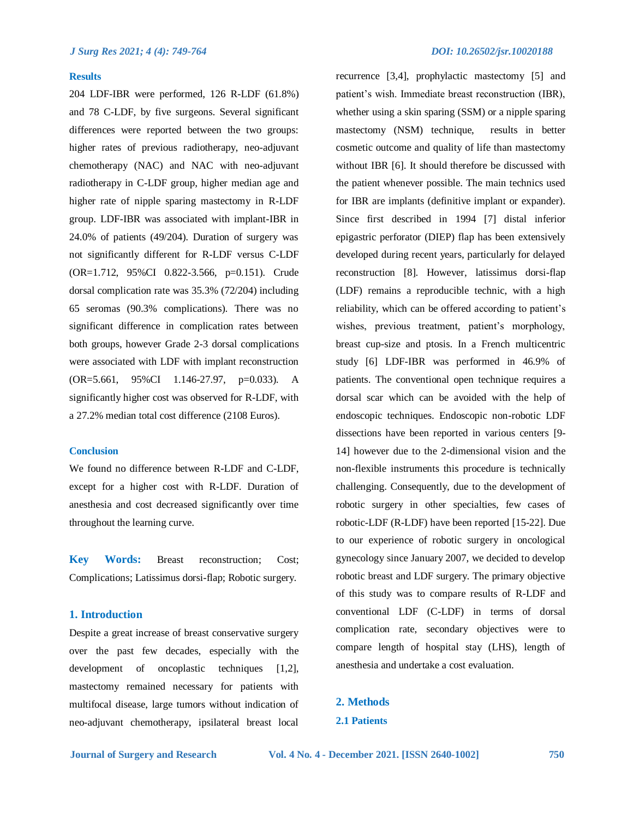### **Results**

204 LDF-IBR were performed, 126 R-LDF (61.8%) and 78 C-LDF, by five surgeons. Several significant differences were reported between the two groups: higher rates of previous radiotherapy, neo-adjuvant chemotherapy (NAC) and NAC with neo-adjuvant radiotherapy in C-LDF group, higher median age and higher rate of nipple sparing mastectomy in R-LDF group. LDF-IBR was associated with implant-IBR in 24.0% of patients (49/204). Duration of surgery was not significantly different for R-LDF versus C-LDF (OR=1.712, 95%CI 0.822-3.566, p=0.151). Crude dorsal complication rate was 35.3% (72/204) including 65 seromas (90.3% complications). There was no significant difference in complication rates between both groups, however Grade 2-3 dorsal complications were associated with LDF with implant reconstruction (OR=5.661, 95%CI 1.146-27.97, p=0.033). A significantly higher cost was observed for R-LDF, with a 27.2% median total cost difference (2108 Euros).

# **Conclusion**

We found no difference between R-LDF and C-LDF, except for a higher cost with R-LDF. Duration of anesthesia and cost decreased significantly over time throughout the learning curve.

**Key Words:** Breast reconstruction; Cost; Complications; Latissimus dorsi-flap; Robotic surgery.

# **1. Introduction**

Despite a great increase of breast conservative surgery over the past few decades, especially with the development of oncoplastic techniques [1,2], mastectomy remained necessary for patients with multifocal disease, large tumors without indication of neo-adjuvant chemotherapy, ipsilateral breast local recurrence [3,4], prophylactic mastectomy [5] and patient's wish. Immediate breast reconstruction (IBR), whether using a skin sparing (SSM) or a nipple sparing mastectomy (NSM) technique, results in better cosmetic outcome and quality of life than mastectomy without IBR [6]. It should therefore be discussed with the patient whenever possible. The main technics used for IBR are implants (definitive implant or expander). Since first described in 1994 [7] distal inferior epigastric perforator (DIEP) flap has been extensively developed during recent years, particularly for delayed reconstruction [8]. However, latissimus dorsi-flap (LDF) remains a reproducible technic, with a high reliability, which can be offered according to patient's wishes, previous treatment, patient's morphology, breast cup-size and ptosis. In a French multicentric study [6] LDF-IBR was performed in 46.9% of patients. The conventional open technique requires a dorsal scar which can be avoided with the help of endoscopic techniques. Endoscopic non-robotic LDF dissections have been reported in various centers [9- 14] however due to the 2-dimensional vision and the non-flexible instruments this procedure is technically challenging. Consequently, due to the development of robotic surgery in other specialties, few cases of robotic-LDF (R-LDF) have been reported [15-22]. Due to our experience of robotic surgery in oncological gynecology since January 2007, we decided to develop robotic breast and LDF surgery. The primary objective of this study was to compare results of R-LDF and conventional LDF (C-LDF) in terms of dorsal complication rate, secondary objectives were to compare length of hospital stay (LHS), length of anesthesia and undertake a cost evaluation.

**2. Methods 2.1 Patients**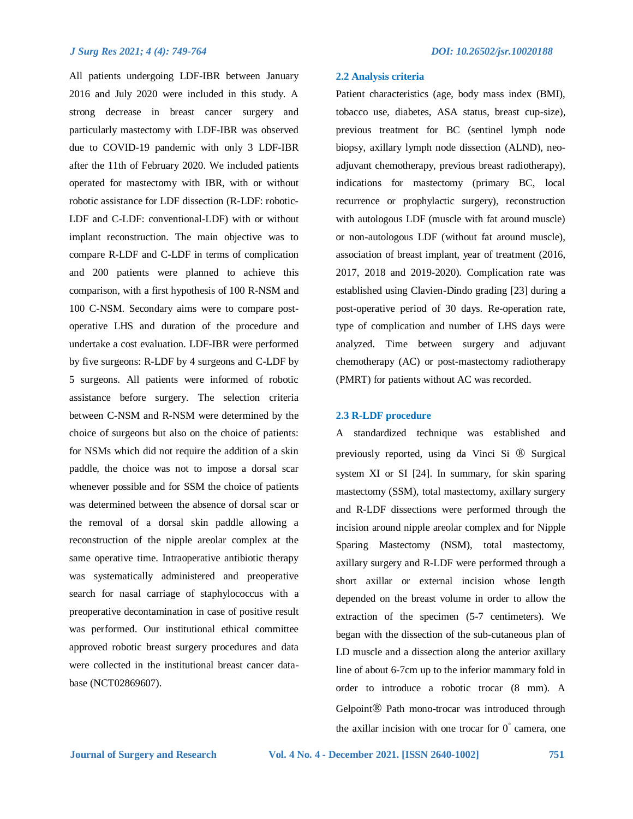All patients undergoing LDF-IBR between January 2016 and July 2020 were included in this study. A strong decrease in breast cancer surgery and particularly mastectomy with LDF-IBR was observed due to COVID-19 pandemic with only 3 LDF-IBR after the 11th of February 2020. We included patients operated for mastectomy with IBR, with or without robotic assistance for LDF dissection (R-LDF: robotic-LDF and C-LDF: conventional-LDF) with or without implant reconstruction. The main objective was to compare R-LDF and C-LDF in terms of complication and 200 patients were planned to achieve this comparison, with a first hypothesis of 100 R-NSM and 100 C-NSM. Secondary aims were to compare postoperative LHS and duration of the procedure and undertake a cost evaluation. LDF-IBR were performed by five surgeons: R-LDF by 4 surgeons and C-LDF by 5 surgeons. All patients were informed of robotic assistance before surgery. The selection criteria between C-NSM and R-NSM were determined by the choice of surgeons but also on the choice of patients: for NSMs which did not require the addition of a skin paddle, the choice was not to impose a dorsal scar whenever possible and for SSM the choice of patients was determined between the absence of dorsal scar or the removal of a dorsal skin paddle allowing a reconstruction of the nipple areolar complex at the same operative time. Intraoperative antibiotic therapy was systematically administered and preoperative search for nasal carriage of staphylococcus with a preoperative decontamination in case of positive result was performed. Our institutional ethical committee approved robotic breast surgery procedures and data were collected in the institutional breast cancer database (NCT02869607).

tobacco use, diabetes, ASA status, breast cup-size), previous treatment for BC (sentinel lymph node biopsy, axillary lymph node dissection (ALND), neoadjuvant chemotherapy, previous breast radiotherapy), indications for mastectomy (primary BC, local recurrence or prophylactic surgery), reconstruction with autologous LDF (muscle with fat around muscle) or non-autologous LDF (without fat around muscle), association of breast implant, year of treatment (2016, 2017, 2018 and 2019-2020). Complication rate was established using Clavien-Dindo grading [23] during a post-operative period of 30 days. Re-operation rate, type of complication and number of LHS days were analyzed. Time between surgery and adjuvant chemotherapy (AC) or post-mastectomy radiotherapy (PMRT) for patients without AC was recorded.

# **2.3 R-LDF procedure**

A standardized technique was established and previously reported, using da Vinci Si ® Surgical system XI or SI [24]. In summary, for skin sparing mastectomy (SSM), total mastectomy, axillary surgery and R-LDF dissections were performed through the incision around nipple areolar complex and for Nipple Sparing Mastectomy (NSM), total mastectomy, axillary surgery and R-LDF were performed through a short axillar or external incision whose length depended on the breast volume in order to allow the extraction of the specimen (5-7 centimeters). We began with the dissection of the sub-cutaneous plan of LD muscle and a dissection along the anterior axillary line of about 6-7cm up to the inferior mammary fold in order to introduce a robotic trocar (8 mm). A Gelpoint<sup>®</sup> Path mono-trocar was introduced through the axillar incision with one trocar for 0° camera, one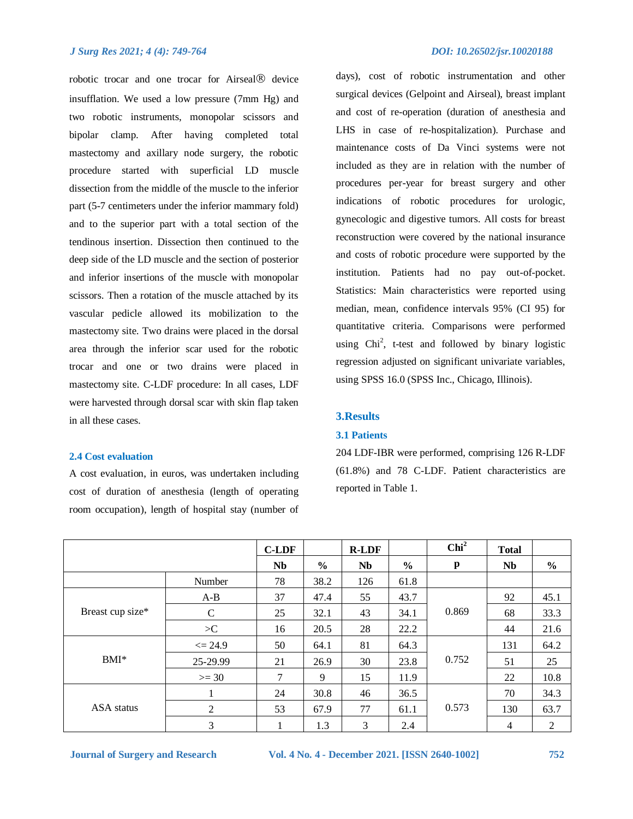robotic trocar and one trocar for Airseal® device insufflation. We used a low pressure (7mm Hg) and two robotic instruments, monopolar scissors and bipolar clamp. After having completed total mastectomy and axillary node surgery, the robotic procedure started with superficial LD muscle dissection from the middle of the muscle to the inferior part (5-7 centimeters under the inferior mammary fold) and to the superior part with a total section of the tendinous insertion. Dissection then continued to the deep side of the LD muscle and the section of posterior and inferior insertions of the muscle with monopolar scissors. Then a rotation of the muscle attached by its vascular pedicle allowed its mobilization to the mastectomy site. Two drains were placed in the dorsal area through the inferior scar used for the robotic trocar and one or two drains were placed in mastectomy site. C-LDF procedure: In all cases, LDF were harvested through dorsal scar with skin flap taken in all these cases.

# **2.4 Cost evaluation**

A cost evaluation, in euros, was undertaken including cost of duration of anesthesia (length of operating room occupation), length of hospital stay (number of days), cost of robotic instrumentation and other surgical devices (Gelpoint and Airseal), breast implant and cost of re-operation (duration of anesthesia and LHS in case of re-hospitalization). Purchase and maintenance costs of Da Vinci systems were not included as they are in relation with the number of procedures per-year for breast surgery and other indications of robotic procedures for urologic, gynecologic and digestive tumors. All costs for breast reconstruction were covered by the national insurance and costs of robotic procedure were supported by the institution. Patients had no pay out-of-pocket. Statistics: Main characteristics were reported using median, mean, confidence intervals 95% (CI 95) for quantitative criteria. Comparisons were performed using  $Chi^2$ , t-test and followed by binary logistic regression adjusted on significant univariate variables, using SPSS 16.0 (SPSS Inc., Chicago, Illinois).

# **3.Results**

#### **3.1 Patients**

204 LDF-IBR were performed, comprising 126 R-LDF (61.8%) and 78 C-LDF. Patient characteristics are reported in Table 1.

|                  |               | <b>C-LDF</b> |               | <b>R-LDF</b> |               | Chi <sup>2</sup> | <b>Total</b> |      |
|------------------|---------------|--------------|---------------|--------------|---------------|------------------|--------------|------|
|                  |               | Nb           | $\frac{6}{9}$ | Nb           | $\frac{0}{0}$ | p                | Nb           | $\%$ |
|                  | Number        | 78           | 38.2          | 126          | 61.8          |                  |              |      |
|                  | $A-B$         | 37           | 47.4          | 55           | 43.7          |                  | 92           | 45.1 |
| Breast cup size* | $\mathcal{C}$ | 25           | 32.1          | 43           | 34.1          | 0.869            | 68           | 33.3 |
|                  | >C            | 16           | 20.5          | 28           | 22.2          |                  | 44           | 21.6 |
|                  | $\leq$ 24.9   | 50           | 64.1          | 81           | 64.3          |                  | 131          | 64.2 |
| $BMI^*$          | 25-29.99      | 21           | 26.9          | 30           | 23.8          | 0.752            | 51           | 25   |
|                  | $>= 30$       | $\tau$       | 9             | 15           | 11.9          |                  | 22           | 10.8 |
| ASA status       | 1             | 24           | 30.8          | 46           | 36.5          |                  | 70           | 34.3 |
|                  | 2             | 53           | 67.9          | 77           | 61.1          | 0.573            | 130          | 63.7 |
|                  | 3             |              | 1.3           | 3            | 2.4           |                  | 4            | 2    |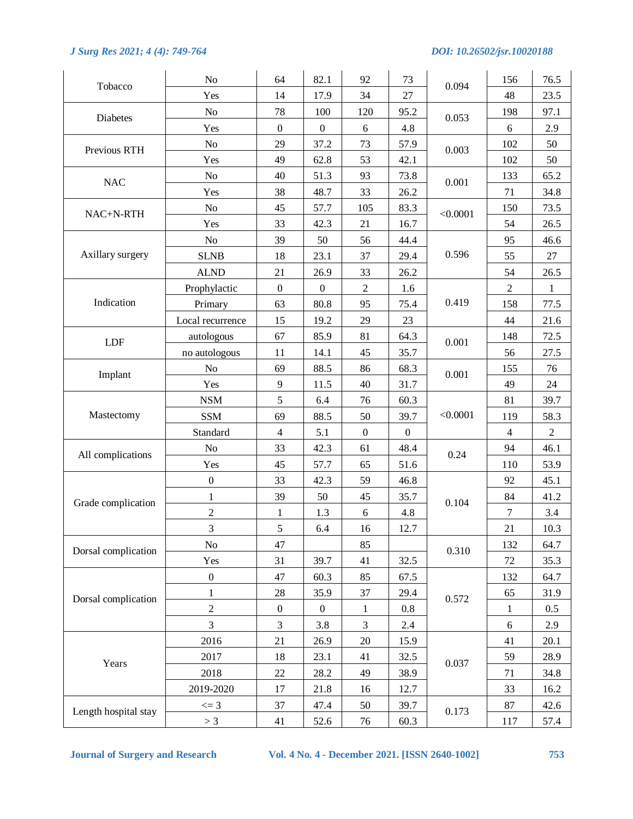|                      | N <sub>o</sub>   | 64               | 82.1             | 92               | 73               |          | 156            | 76.5           |
|----------------------|------------------|------------------|------------------|------------------|------------------|----------|----------------|----------------|
| Tobacco              | Yes              | 14               | 17.9             | 34               | 27               | 0.094    | 48             | 23.5           |
|                      | N <sub>o</sub>   | 78               | 100              | 120              | 95.2             |          | 198            | 97.1           |
| Diabetes             | Yes              | $\boldsymbol{0}$ | $\boldsymbol{0}$ | $\sqrt{6}$       | 4.8              | 0.053    | 6              | 2.9            |
| Previous RTH         | No               | 29               | 37.2             | 73               | 57.9             | 0.003    | 102            | 50             |
|                      | Yes              | 49               | 62.8             | 53               | 42.1             |          | 102            | 50             |
| $\rm NAC$            | N <sub>o</sub>   | 40               | 51.3             | 93               | 73.8             | 0.001    | 133            | 65.2           |
|                      | Yes              | 38               | 48.7             | 33               | 26.2             |          | 71             | 34.8           |
| NAC+N-RTH            | N <sub>o</sub>   | 45               | 57.7             | 105              | 83.3             | < 0.0001 | 150            | 73.5           |
|                      | Yes              | 33               | 42.3             | 21               | 16.7             |          | 54             | 26.5           |
|                      | N <sub>o</sub>   | 39               | 50               | 56               | 44.4             |          | 95             | 46.6           |
| Axillary surgery     | <b>SLNB</b>      | 18               | 23.1             | 37               | 29.4             | 0.596    | 55             | $27\,$         |
|                      | <b>ALND</b>      | 21               | 26.9             | 33               | 26.2             |          | 54             | 26.5           |
|                      | Prophylactic     | $\boldsymbol{0}$ | $\boldsymbol{0}$ | $\overline{2}$   | 1.6              |          | $\overline{2}$ | $\mathbf{1}$   |
| Indication           | Primary          | 63               | 80.8             | 95               | 75.4             | 0.419    | 158            | 77.5           |
|                      | Local recurrence | 15               | 19.2             | 29               | 23               |          | 44             | 21.6           |
| <b>LDF</b>           | autologous       | 67               | 85.9             | 81               | 64.3             | 0.001    | 148            | 72.5           |
|                      | no autologous    | 11               | 14.1             | 45               | 35.7             |          | 56             | 27.5           |
| Implant              | N <sub>o</sub>   | 69               | 88.5             | 86               | 68.3             | 0.001    | 155            | 76             |
|                      | Yes              | 9                | 11.5             | 40               | 31.7             |          | 49             | 24             |
|                      | <b>NSM</b>       | 5                | 6.4              | 76               | 60.3             |          | 81             | 39.7           |
| Mastectomy           | <b>SSM</b>       | 69               | 88.5             | 50               | 39.7             | < 0.0001 | 119            | 58.3           |
|                      | Standard         | $\overline{4}$   | 5.1              | $\boldsymbol{0}$ | $\boldsymbol{0}$ |          | $\overline{4}$ | $\overline{2}$ |
| All complications    | N <sub>o</sub>   | 33               | 42.3             | 61               | 48.4             | 0.24     | 94             | 46.1           |
|                      | Yes              | 45               | 57.7             | 65               | 51.6             |          | 110            | 53.9           |
|                      | $\boldsymbol{0}$ | 33               | 42.3             | 59               | 46.8             |          | 92             | 45.1           |
| Grade complication   | 1                | 39               | 50               | 45               | 35.7             | 0.104    | 84             | 41.2           |
|                      | $\overline{c}$   | $\mathbf{1}$     | 1.3              | 6                | 4.8              |          | $\tau$         | 3.4            |
|                      | 3                | 5                | 6.4              | 16               | 12.7             |          | 21             | 10.3           |
| Dorsal complication  | No               | 47               |                  | 85               |                  | 0.310    | 132            | 64.7           |
|                      | Yes              | 31               | 39.7             | 41               | 32.5             |          | 72             | 35.3           |
|                      | $\boldsymbol{0}$ | 47               | 60.3             | 85               | 67.5             |          | 132            | 64.7           |
| Dorsal complication  | $\mathbf{1}$     | 28               | 35.9             | 37               | 29.4             | 0.572    | 65             | 31.9           |
|                      | $\overline{2}$   | $\boldsymbol{0}$ | $\boldsymbol{0}$ | $\mathbf{1}$     | 0.8              |          | 1              | 0.5            |
|                      | 3                | 3                | 3.8              | 3                | 2.4              |          | $\sqrt{6}$     | 2.9            |
|                      | 2016             | 21               | 26.9             | $20\,$           | 15.9             |          | 41             | 20.1           |
| Years                | 2017             | 18               | 23.1             | 41               | 32.5             | 0.037    | 59             | 28.9           |
|                      | 2018             | 22               | 28.2             | 49               | 38.9             |          | 71             | 34.8           |
|                      | 2019-2020        | 17               | 21.8             | 16               | 12.7             |          | 33             | 16.2           |
| Length hospital stay | $\leq$ = 3       | 37               | 47.4             | 50               | 39.7             | 0.173    | $87\,$         | 42.6           |
|                      | > 3              | 41               | 52.6             | 76               | 60.3             |          | 117            | 57.4           |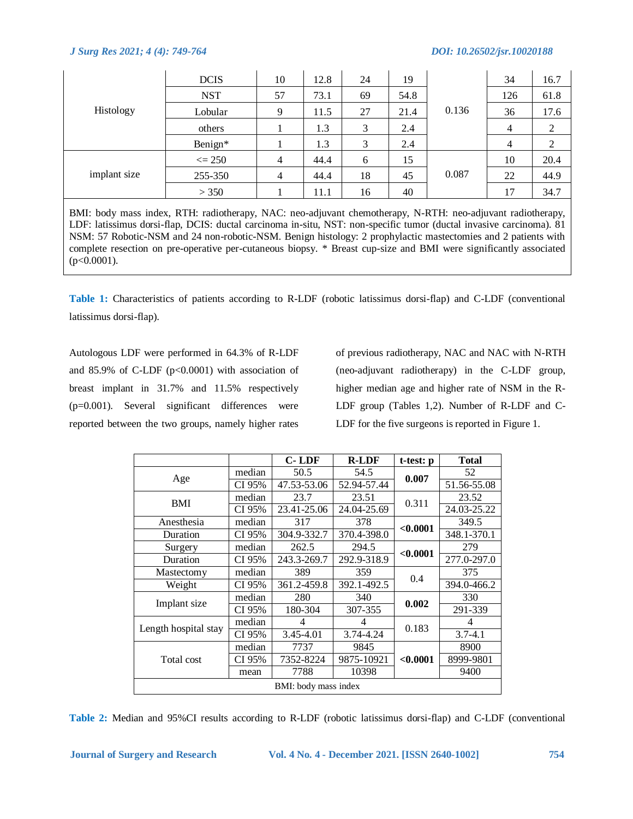| Histology    | <b>DCIS</b> | 10             | 12.8 | 24 | 19   |       | 34             | 16.7 |
|--------------|-------------|----------------|------|----|------|-------|----------------|------|
|              | <b>NST</b>  | 57             | 73.1 | 69 | 54.8 |       | 126            | 61.8 |
|              | Lobular     | 9              | 11.5 | 27 | 21.4 | 0.136 | 36             | 17.6 |
|              | others      |                | 1.3  | 3  | 2.4  |       | $\overline{4}$ | 2    |
|              | Benign*     |                | 1.3  | 3  | 2.4  |       | $\overline{4}$ | 2    |
| implant size | $\leq$ 250  | $\overline{4}$ | 44.4 | 6  | 15   |       | 10             | 20.4 |
|              | 255-350     | $\overline{4}$ | 44.4 | 18 | 45   | 0.087 | 22             | 44.9 |
|              | > 350       |                | 11.1 | 16 | 40   |       | 17             | 34.7 |

BMI: body mass index, RTH: radiotherapy, NAC: neo-adjuvant chemotherapy, N-RTH: neo-adjuvant radiotherapy, LDF: latissimus dorsi-flap, DCIS: ductal carcinoma in-situ, NST: non-specific tumor (ductal invasive carcinoma). 81 NSM: 57 Robotic-NSM and 24 non-robotic-NSM. Benign histology: 2 prophylactic mastectomies and 2 patients with complete resection on pre-operative per-cutaneous biopsy. \* Breast cup-size and BMI were significantly associated  $(p<0.0001)$ .

**Table 1:** Characteristics of patients according to R-LDF (robotic latissimus dorsi-flap) and C-LDF (conventional latissimus dorsi-flap).

Autologous LDF were performed in 64.3% of R-LDF and  $85.9\%$  of C-LDF (p<0.0001) with association of breast implant in 31.7% and 11.5% respectively (p=0.001). Several significant differences were reported between the two groups, namely higher rates of previous radiotherapy, NAC and NAC with N-RTH (neo-adjuvant radiotherapy) in the C-LDF group, higher median age and higher rate of NSM in the R-LDF group (Tables 1,2). Number of R-LDF and C-LDF for the five surgeons is reported in Figure 1.

|                      |        | <b>C-LDF</b>         | <b>R-LDF</b> | t-test: p | <b>Total</b> |
|----------------------|--------|----------------------|--------------|-----------|--------------|
|                      | median | 50.5                 | 54.5         | 0.007     | 52           |
| Age                  | CI 95% | 47.53-53.06          | 52.94-57.44  |           | 51.56-55.08  |
| BMI                  | median | 23.7                 | 23.51        | 0.311     | 23.52        |
|                      | CI 95% | 23.41-25.06          | 24.04-25.69  |           | 24.03-25.22  |
| Anesthesia           | median | 317                  | 378          | < 0.0001  | 349.5        |
| Duration             | CI 95% | 304.9-332.7          | 370.4-398.0  |           | 348.1-370.1  |
| Surgery              | median | 262.5                | 294.5        |           | 279          |
| Duration             | CI 95% | 243.3-269.7          | 292.9-318.9  | < 0.0001  | 277.0-297.0  |
| Mastectomy           | median | 389                  | 359          | 0.4       | 375          |
| Weight               | CI 95% | 361.2-459.8          | 392.1-492.5  |           | 394.0-466.2  |
|                      | median | 280                  | 340          | 0.002     | 330          |
| Implant size         | CI 95% | 180-304              | 307-355      |           | 291-339      |
|                      | median | 4                    | 4            | 0.183     | 4            |
| Length hospital stay | CI 95% | 3.45-4.01            | 3.74-4.24    |           | $3.7 - 4.1$  |
|                      | median | 7737                 | 9845         |           | 8900         |
| Total cost           | CI 95% | 7352-8224            | 9875-10921   | < 0.0001  | 8999-9801    |
|                      | mean   | 7788                 | 10398        |           | 9400         |
|                      |        | BMI: body mass index |              |           |              |

**Table 2:** Median and 95%CI results according to R-LDF (robotic latissimus dorsi-flap) and C-LDF (conventional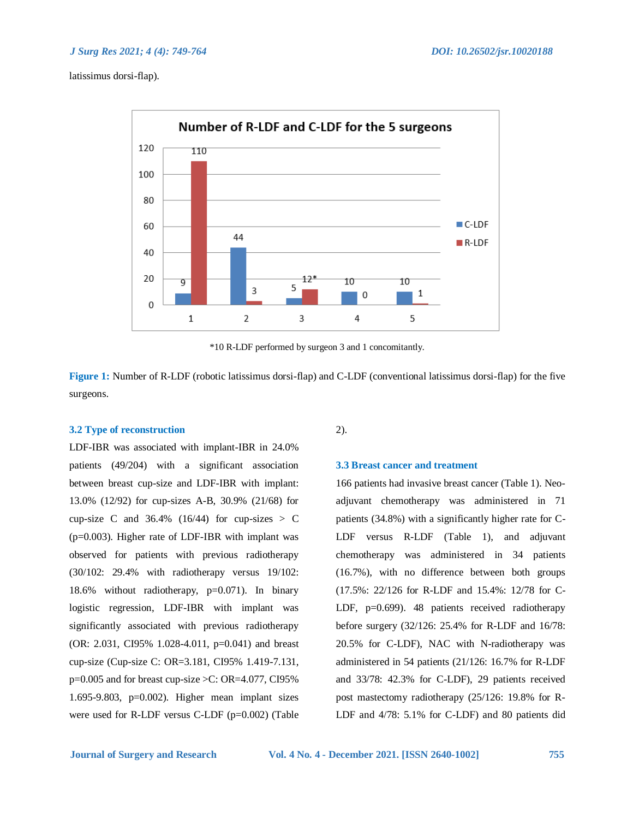latissimus dorsi-flap).



\*10 R-LDF performed by surgeon 3 and 1 concomitantly.

**Figure 1:** Number of R-LDF (robotic latissimus dorsi-flap) and C-LDF (conventional latissimus dorsi-flap) for the five surgeons.

# **3.2 Type of reconstruction**

LDF-IBR was associated with implant-IBR in 24.0% patients (49/204) with a significant association between breast cup-size and LDF-IBR with implant: 13.0% (12/92) for cup-sizes A-B, 30.9% (21/68) for cup-size C and  $36.4\%$  (16/44) for cup-sizes > C (p=0.003). Higher rate of LDF-IBR with implant was observed for patients with previous radiotherapy (30/102: 29.4% with radiotherapy versus 19/102: 18.6% without radiotherapy, p=0.071). In binary logistic regression, LDF-IBR with implant was significantly associated with previous radiotherapy (OR: 2.031, CI95% 1.028-4.011, p=0.041) and breast cup-size (Cup-size C: OR=3.181, CI95% 1.419-7.131,  $p=0.005$  and for breast cup-size  $\geq$ C: OR=4.077, CI95% 1.695-9.803, p=0.002). Higher mean implant sizes were used for R-LDF versus C-LDF (p=0.002) (Table

2).

# **3.3 Breast cancer and treatment**

166 patients had invasive breast cancer (Table 1). Neoadjuvant chemotherapy was administered in 71 patients (34.8%) with a significantly higher rate for C-LDF versus R-LDF (Table 1), and adjuvant chemotherapy was administered in 34 patients (16.7%), with no difference between both groups (17.5%: 22/126 for R-LDF and 15.4%: 12/78 for C-LDF, p=0.699). 48 patients received radiotherapy before surgery (32/126: 25.4% for R-LDF and 16/78: 20.5% for C-LDF), NAC with N-radiotherapy was administered in 54 patients (21/126: 16.7% for R-LDF and 33/78: 42.3% for C-LDF), 29 patients received post mastectomy radiotherapy (25/126: 19.8% for R-LDF and 4/78: 5.1% for C-LDF) and 80 patients did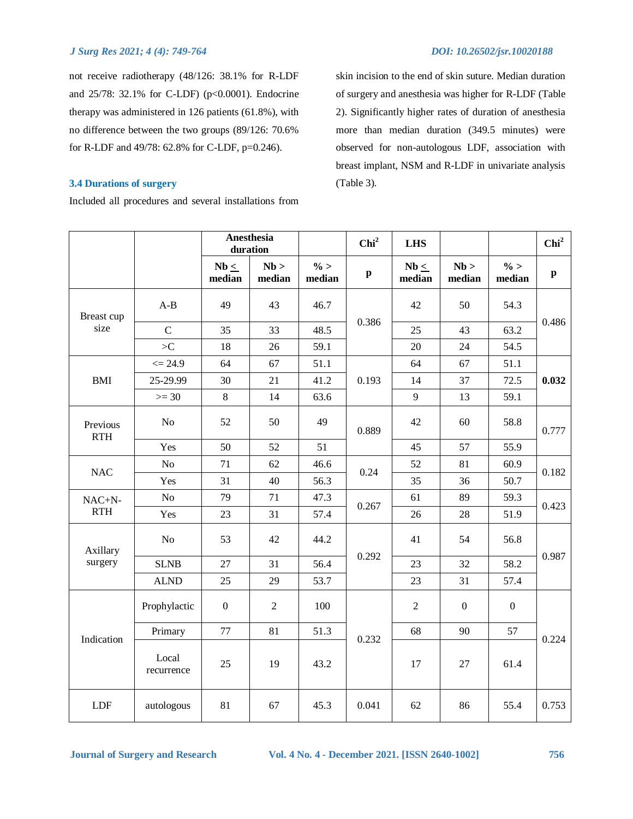not receive radiotherapy (48/126: 38.1% for R-LDF and 25/78: 32.1% for C-LDF) (p<0.0001). Endocrine therapy was administered in 126 patients (61.8%), with no difference between the two groups (89/126: 70.6% for R-LDF and 49/78: 62.8% for C-LDF, p=0.246).

# **3.4 Durations of surgery**

Included all procedures and several installations from

skin incision to the end of skin suture. Median duration of surgery and anesthesia was higher for R-LDF (Table 2). Significantly higher rates of duration of anesthesia more than median duration (349.5 minutes) were observed for non-autologous LDF, association with breast implant, NSM and R-LDF in univariate analysis (Table 3).

|                        |                     | Anesthesia<br>duration |                |                  | Chi <sup>2</sup>          | <b>LHS</b>          |                  |                  | Chi <sup>2</sup> |  |
|------------------------|---------------------|------------------------|----------------|------------------|---------------------------|---------------------|------------------|------------------|------------------|--|
|                        |                     | $Nb \leq$<br>median    | Nb<br>median   | $\%$ ><br>median | $\boldsymbol{\mathrm{p}}$ | $Nb \leq$<br>median | Nb<br>median     | $\%$<br>median   | $\mathbf{p}$     |  |
| Breast cup             | $A-B$               | 49                     | 43             | 46.7             |                           | 42                  | 50               | 54.3             |                  |  |
| size                   | $\mathbf C$         | 35                     | 33             | 48.5             | 0.386                     | 25                  | 43               | 63.2             | 0.486            |  |
|                        | >C                  | 18                     | 26             | 59.1             |                           | 20                  | 24               | 54.5             |                  |  |
|                        | $\leq$ 24.9         | 64                     | 67             | 51.1             |                           | 64                  | 67               | 51.1             |                  |  |
| <b>BMI</b>             | 25-29.99            | 30                     | 21             | 41.2             | 0.193                     | 14                  | 37               | 72.5             | 0.032            |  |
|                        | $>=$ 30             | $\,8\,$                | 14             | 63.6             |                           | 9                   | 13               | 59.1             |                  |  |
| Previous<br><b>RTH</b> | No                  | 52                     | 50             | 49               | 0.889                     | 42                  | 60               | 58.8             | 0.777            |  |
|                        | Yes                 | 50                     | 52             | 51               |                           | 45                  | 57               | 55.9             |                  |  |
| <b>NAC</b>             | No                  | 71                     | 62             | 46.6             | 0.24                      | 52                  | 81               | 60.9             | 0.182<br>0.423   |  |
|                        | Yes                 | 31                     | 40             | 56.3             |                           | 35                  | 36               | 50.7             |                  |  |
| $NAC+N-$               | $\rm No$            | 79                     | 71             | 47.3             | 0.267                     | 61                  | 89               | 59.3             |                  |  |
| RTH                    | Yes                 | 23                     | 31             | 57.4             |                           | 26                  | 28               | 51.9             |                  |  |
| Axillary               | No                  | 53                     | 42             | 44.2             |                           | 41                  | 54               | 56.8             |                  |  |
| surgery                | <b>SLNB</b>         | 27                     | 31             | 56.4             | 0.292                     | 23                  | 32               | 58.2             | 0.987            |  |
|                        | <b>ALND</b>         | 25                     | 29             | 53.7             |                           | 23                  | 31               | 57.4             |                  |  |
|                        | Prophylactic        | $\boldsymbol{0}$       | $\overline{2}$ | 100              |                           | $\overline{2}$      | $\boldsymbol{0}$ | $\boldsymbol{0}$ |                  |  |
| Indication             | Primary             | 77                     | 81             | 51.3             | 0.232                     | 68                  | 90               | 57               | 0.224            |  |
|                        | Local<br>recurrence | 25                     | 19             | 43.2             |                           | 17                  | 27               | 61.4             |                  |  |
| <b>LDF</b>             | autologous          | 81                     | 67             | 45.3             | 0.041                     | 62                  | 86               | 55.4             | 0.753            |  |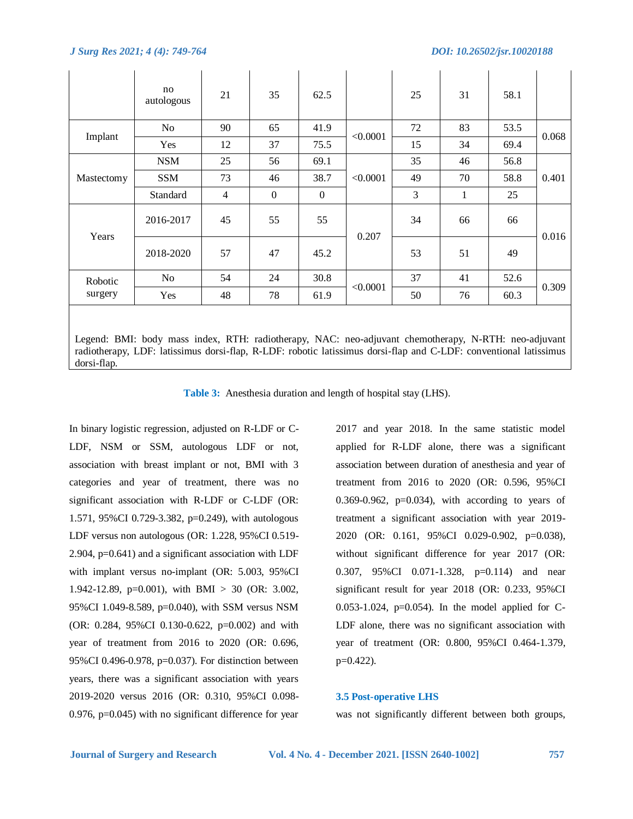dorsi-flap.

|                                                                                                                                                                                                                           | no<br>autologous | 21             | 35             | 62.5           |          | 25 | 31 | 58.1 |       |  |
|---------------------------------------------------------------------------------------------------------------------------------------------------------------------------------------------------------------------------|------------------|----------------|----------------|----------------|----------|----|----|------|-------|--|
|                                                                                                                                                                                                                           | No.              | 90             | 65             | 41.9           |          | 72 | 83 | 53.5 |       |  |
| Implant                                                                                                                                                                                                                   | Yes              | 12             | 37             | 75.5           | < 0.0001 | 15 | 34 | 69.4 | 0.068 |  |
|                                                                                                                                                                                                                           | <b>NSM</b>       | 25             | 56             | 69.1           |          | 35 | 46 | 56.8 |       |  |
| Mastectomy                                                                                                                                                                                                                | <b>SSM</b>       | 73             | 46             | 38.7           | < 0.0001 | 49 | 70 | 58.8 | 0.401 |  |
|                                                                                                                                                                                                                           | Standard         | $\overline{4}$ | $\overline{0}$ | $\overline{0}$ |          | 3  | 1  | 25   |       |  |
|                                                                                                                                                                                                                           | 2016-2017        | 45             | 55             | 55             |          | 34 | 66 | 66   | 0.016 |  |
| Years                                                                                                                                                                                                                     | 2018-2020        | 57             | 47             | 45.2           | 0.207    | 53 | 51 | 49   |       |  |
| Robotic                                                                                                                                                                                                                   | N <sub>0</sub>   | 54             | 24             | 30.8           |          | 37 | 41 | 52.6 |       |  |
| surgery                                                                                                                                                                                                                   | Yes              | 48             | 78             | 61.9           | < 0.0001 | 50 | 76 | 60.3 | 0.309 |  |
| Legend: BMI: body mass index, RTH: radiotherapy, NAC: neo-adjuvant chemotherapy, N-RTH: neo-adjuvant<br>radiotherapy, LDF: latissimus dorsi-flap, R-LDF: robotic latissimus dorsi-flap and C-LDF: conventional latissimus |                  |                |                |                |          |    |    |      |       |  |

**Table 3:** Anesthesia duration and length of hospital stay (LHS).

In binary logistic regression, adjusted on R-LDF or C-LDF, NSM or SSM, autologous LDF or not, association with breast implant or not, BMI with 3 categories and year of treatment, there was no significant association with R-LDF or C-LDF (OR: 1.571, 95%CI 0.729-3.382, p=0.249), with autologous LDF versus non autologous (OR: 1.228, 95%CI 0.519- 2.904, p=0.641) and a significant association with LDF with implant versus no-implant (OR: 5.003, 95%CI 1.942-12.89, p=0.001), with BMI > 30 (OR: 3.002, 95%CI 1.049-8.589, p=0.040), with SSM versus NSM (OR: 0.284, 95%CI 0.130-0.622, p=0.002) and with year of treatment from 2016 to 2020 (OR: 0.696, 95%CI 0.496-0.978, p=0.037). For distinction between years, there was a significant association with years 2019-2020 versus 2016 (OR: 0.310, 95%CI 0.098- 0.976, p=0.045) with no significant difference for year

2017 and year 2018. In the same statistic model applied for R-LDF alone, there was a significant association between duration of anesthesia and year of treatment from 2016 to 2020 (OR: 0.596, 95%CI 0.369-0.962,  $p=0.034$ ), with according to years of treatment a significant association with year 2019- 2020 (OR: 0.161, 95%CI 0.029-0.902, p=0.038), without significant difference for year 2017 (OR: 0.307, 95%CI 0.071-1.328, p=0.114) and near significant result for year 2018 (OR: 0.233, 95%CI 0.053-1.024, p=0.054). In the model applied for C-LDF alone, there was no significant association with year of treatment (OR: 0.800, 95%CI 0.464-1.379, p=0.422).

# **3.5 Post-operative LHS**

was not significantly different between both groups,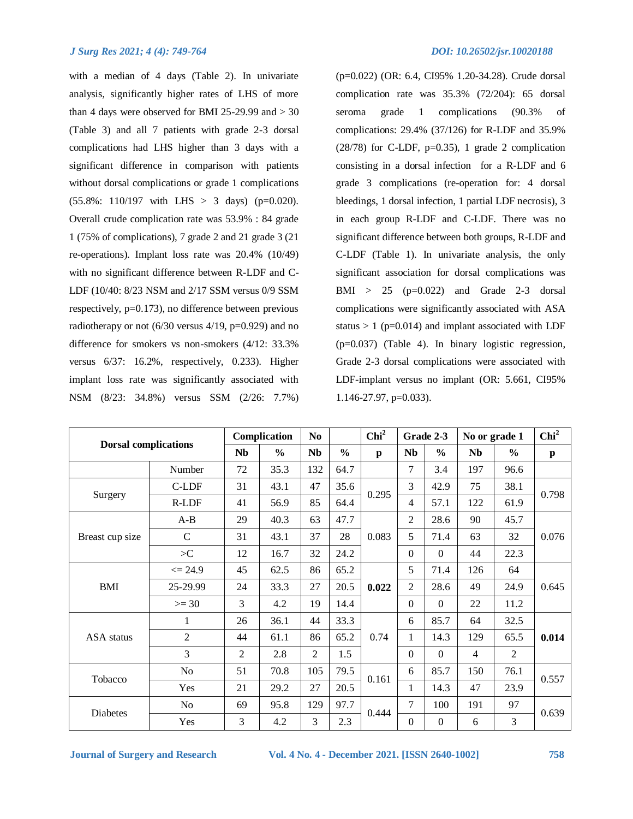with a median of 4 days (Table 2). In univariate analysis, significantly higher rates of LHS of more than 4 days were observed for BMI 25-29.99 and  $>$  30 (Table 3) and all 7 patients with grade 2-3 dorsal complications had LHS higher than 3 days with a significant difference in comparison with patients without dorsal complications or grade 1 complications  $(55.8\% : 110/197 \text{ with } LHS > 3 \text{ days})$  (p=0.020). Overall crude complication rate was 53.9% : 84 grade 1 (75% of complications), 7 grade 2 and 21 grade 3 (21 re-operations). Implant loss rate was 20.4% (10/49) with no significant difference between R-LDF and C-LDF (10/40: 8/23 NSM and 2/17 SSM versus 0/9 SSM respectively, p=0.173), no difference between previous radiotherapy or not  $(6/30$  versus  $4/19$ ,  $p=0.929$ ) and no difference for smokers vs non-smokers (4/12: 33.3% versus 6/37: 16.2%, respectively, 0.233). Higher implant loss rate was significantly associated with NSM (8/23: 34.8%) versus SSM (2/26: 7.7%) (p=0.022) (OR: 6.4, CI95% 1.20-34.28). Crude dorsal complication rate was 35.3% (72/204): 65 dorsal seroma grade 1 complications (90.3% of complications: 29.4% (37/126) for R-LDF and 35.9%  $(28/78)$  for C-LDF, p=0.35), 1 grade 2 complication consisting in a dorsal infection for a R-LDF and 6 grade 3 complications (re-operation for: 4 dorsal bleedings, 1 dorsal infection, 1 partial LDF necrosis), 3 in each group R-LDF and C-LDF. There was no significant difference between both groups, R-LDF and C-LDF (Table 1). In univariate analysis, the only significant association for dorsal complications was  $BMI > 25$  (p=0.022) and Grade 2-3 dorsal complications were significantly associated with ASA status  $> 1$  (p=0.014) and implant associated with LDF (p=0.037) (Table 4). In binary logistic regression, Grade 2-3 dorsal complications were associated with LDF-implant versus no implant (OR: 5.661, CI95% 1.146-27.97, p=0.033).

| <b>Dorsal complications</b> |                |                | Complication  | N <sub>0</sub> |               | Chi <sup>2</sup> |                | Grade 2-3      | No or grade 1  |                | Chi <sup>2</sup> |
|-----------------------------|----------------|----------------|---------------|----------------|---------------|------------------|----------------|----------------|----------------|----------------|------------------|
|                             |                | <b>Nb</b>      | $\frac{0}{0}$ | <b>Nb</b>      | $\frac{0}{0}$ | p                | <b>Nb</b>      | $\frac{0}{0}$  | <b>Nb</b>      | $\frac{0}{0}$  | p                |
|                             | Number         | 72             | 35.3          | 132            | 64.7          |                  | $\overline{7}$ | 3.4            | 197            | 96.6           |                  |
|                             | C-LDF          | 31             | 43.1          | 47             | 35.6          | 0.295            | 3              | 42.9           | 75             | 38.1           | 0.798            |
| Surgery                     | R-LDF          | 41             | 56.9          | 85             | 64.4          |                  | $\overline{4}$ | 57.1           | 122            | 61.9           |                  |
|                             | $A-B$          | 29             | 40.3          | 63             | 47.7          |                  | 2              | 28.6           | 90             | 45.7           |                  |
| Breast cup size             | $\mathcal{C}$  | 31             | 43.1          | 37             | 28            | 0.083            | 5              | 71.4           | 63             | 32             | 0.076            |
|                             | $>\!\!C$       | 12             | 16.7          | 32             | 24.2          |                  | $\Omega$       | $\Omega$       | 44             | 22.3           |                  |
|                             | $\leq$ 24.9    | 45             | 62.5          | 86             | 65.2          | 0.022            | 5              | 71.4           | 126            | 64             | 0.645            |
| <b>BMI</b>                  | 25-29.99       | 24             | 33.3          | 27             | 20.5          |                  | $\overline{2}$ | 28.6           | 49             | 24.9           |                  |
|                             | $>= 30$        | 3              | 4.2           | 19             | 14.4          |                  | $\Omega$       | $\Omega$       | 22             | 11.2           |                  |
|                             | 1              | 26             | 36.1          | 44             | 33.3          |                  | 6              | 85.7           | 64             | 32.5           | 0.014            |
| <b>ASA</b> status           | $\overline{2}$ | 44             | 61.1          | 86             | 65.2          | 0.74             | 1              | 14.3           | 129            | 65.5           |                  |
|                             | 3              | $\overline{2}$ | 2.8           | $\overline{2}$ | 1.5           |                  | $\Omega$       | $\Omega$       | $\overline{4}$ | $\mathfrak{2}$ |                  |
| Tobacco                     | No             | 51             | 70.8          | 105            | 79.5          | 0.161            | 6              | 85.7           | 150            | 76.1           | 0.557            |
|                             | Yes            | 21             | 29.2          | 27             | 20.5          |                  | 1              | 14.3           | 47             | 23.9           |                  |
| Diabetes                    | N <sub>o</sub> | 69             | 95.8          | 129            | 97.7          | 0.444            | $\tau$         | 100            | 191            | 97             | 0.639            |
|                             | Yes            | 3              | 4.2           | $\overline{3}$ | 2.3           |                  | $\Omega$       | $\overline{0}$ | 6              | 3              |                  |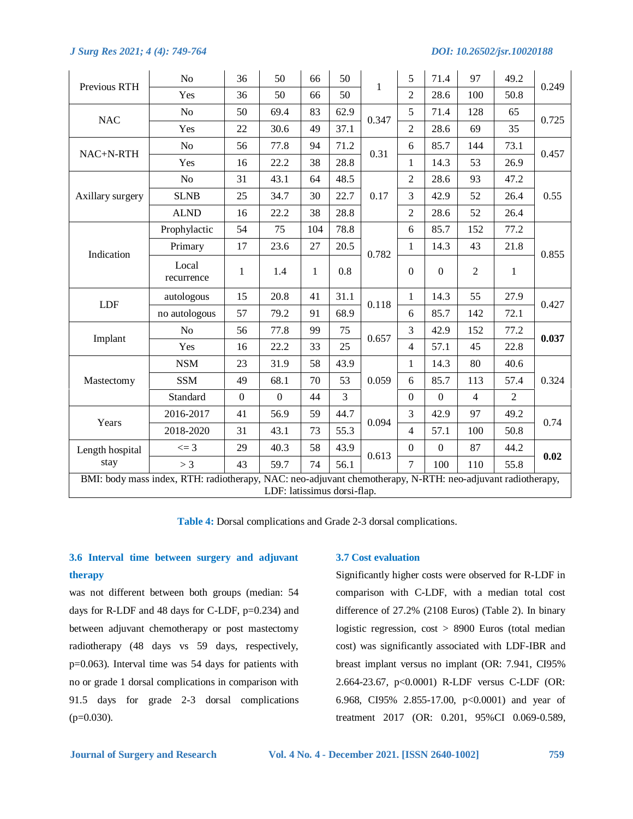|                  | No                                                                                                         | 36               | 50                          | 66  | 50   |       | 5                | 71.4             | 97             | 49.2           | 0.249 |
|------------------|------------------------------------------------------------------------------------------------------------|------------------|-----------------------------|-----|------|-------|------------------|------------------|----------------|----------------|-------|
| Previous RTH     | Yes                                                                                                        | 36               | 50                          | 66  | 50   | 1     | $\overline{2}$   | 28.6             | 100            | 50.8           |       |
| <b>NAC</b>       | N <sub>o</sub>                                                                                             | 50               | 69.4                        | 83  | 62.9 | 0.347 | 5                | 71.4             | 128            | 65             | 0.725 |
|                  | Yes                                                                                                        | 22               | 30.6                        | 49  | 37.1 | 0.31  | $\overline{2}$   | 28.6             | 69             | 35             |       |
| NAC+N-RTH        | N <sub>o</sub>                                                                                             | 56               | 77.8                        | 94  | 71.2 |       | 6                | 85.7             | 144            | 73.1           | 0.457 |
|                  | Yes                                                                                                        | 16               | 22.2                        | 38  | 28.8 |       | $\mathbf{1}$     | 14.3             | 53             | 26.9           |       |
|                  | N <sub>o</sub>                                                                                             | 31               | 43.1                        | 64  | 48.5 |       | $\overline{2}$   | 28.6             | 93             | 47.2           |       |
| Axillary surgery | <b>SLNB</b>                                                                                                | 25               | 34.7                        | 30  | 22.7 | 0.17  | 3                | 42.9             | 52             | 26.4           | 0.55  |
|                  | <b>ALND</b>                                                                                                | 16               | 22.2                        | 38  | 28.8 |       | 2                | 28.6             | 52             | 26.4           |       |
|                  | Prophylactic                                                                                               | 54               | 75                          | 104 | 78.8 |       | 6                | 85.7             | 152            | 77.2           |       |
| Indication       | Primary                                                                                                    | 17               | 23.6                        | 27  | 20.5 | 0.782 | 1                | 14.3             | 43             | 21.8           | 0.855 |
|                  | Local<br>recurrence                                                                                        | $\mathbf{1}$     | 1.4                         | 1   | 0.8  | 0.118 | $\Omega$         | $\mathbf{0}$     | 2              | $\mathbf{1}$   |       |
| <b>LDF</b>       | autologous                                                                                                 | 15               | 20.8                        | 41  | 31.1 |       | $\mathbf{1}$     | 14.3             | 55             | 27.9           | 0.427 |
|                  | no autologous                                                                                              | 57               | 79.2                        | 91  | 68.9 |       | 6                | 85.7             | 142            | 72.1           | 0.037 |
| Implant          | N <sub>o</sub>                                                                                             | 56               | 77.8                        | 99  | 75   | 0.657 | 3                | 42.9             | 152            | 77.2           |       |
|                  | Yes                                                                                                        | 16               | 22.2                        | 33  | 25   |       | $\overline{4}$   | 57.1             | 45             | 22.8           |       |
|                  | <b>NSM</b>                                                                                                 | 23               | 31.9                        | 58  | 43.9 |       | $\mathbf{1}$     | 14.3             | 80             | 40.6           |       |
| Mastectomy       | <b>SSM</b>                                                                                                 | 49               | 68.1                        | 70  | 53   | 0.059 | 6                | 85.7             | 113            | 57.4           | 0.324 |
|                  | Standard                                                                                                   | $\boldsymbol{0}$ | $\boldsymbol{0}$            | 44  | 3    |       | $\Omega$         | $\boldsymbol{0}$ | $\overline{4}$ | $\overline{2}$ |       |
| Years            | 2016-2017                                                                                                  | 41               | 56.9                        | 59  | 44.7 | 0.094 | $\overline{3}$   | 42.9             | 97             | 49.2           | 0.74  |
|                  | 2018-2020                                                                                                  | 31               | 43.1                        | 73  | 55.3 |       | $\overline{4}$   | 57.1             | 100            | 50.8           |       |
| Length hospital  | $\leq$ = 3                                                                                                 | 29               | 40.3                        | 58  | 43.9 | 0.613 | $\boldsymbol{0}$ | $\boldsymbol{0}$ | 87             | 44.2           | 0.02  |
| stay             | > 3                                                                                                        | 43               | 59.7                        | 74  | 56.1 |       | $\tau$           | 100              | 110            | 55.8           |       |
|                  | BMI: body mass index, RTH: radiotherapy, NAC: neo-adjuvant chemotherapy, N-RTH: neo-adjuvant radiotherapy, |                  | LDF: latissimus dorsi-flap. |     |      |       |                  |                  |                |                |       |

**Table 4:** Dorsal complications and Grade 2-3 dorsal complications.

# **3.6 Interval time between surgery and adjuvant therapy**

was not different between both groups (median: 54 days for R-LDF and 48 days for C-LDF, p=0.234) and between adjuvant chemotherapy or post mastectomy radiotherapy (48 days vs 59 days, respectively, p=0.063). Interval time was 54 days for patients with no or grade 1 dorsal complications in comparison with 91.5 days for grade 2-3 dorsal complications  $(p=0.030)$ .

# **3.7 Cost evaluation**

Significantly higher costs were observed for R-LDF in comparison with C-LDF, with a median total cost difference of 27.2% (2108 Euros) (Table 2). In binary logistic regression, cost > 8900 Euros (total median cost) was significantly associated with LDF-IBR and breast implant versus no implant (OR: 7.941, CI95% 2.664-23.67, p<0.0001) R-LDF versus C-LDF (OR: 6.968, CI95% 2.855-17.00, p<0.0001) and year of treatment 2017 (OR: 0.201, 95%CI 0.069-0.589,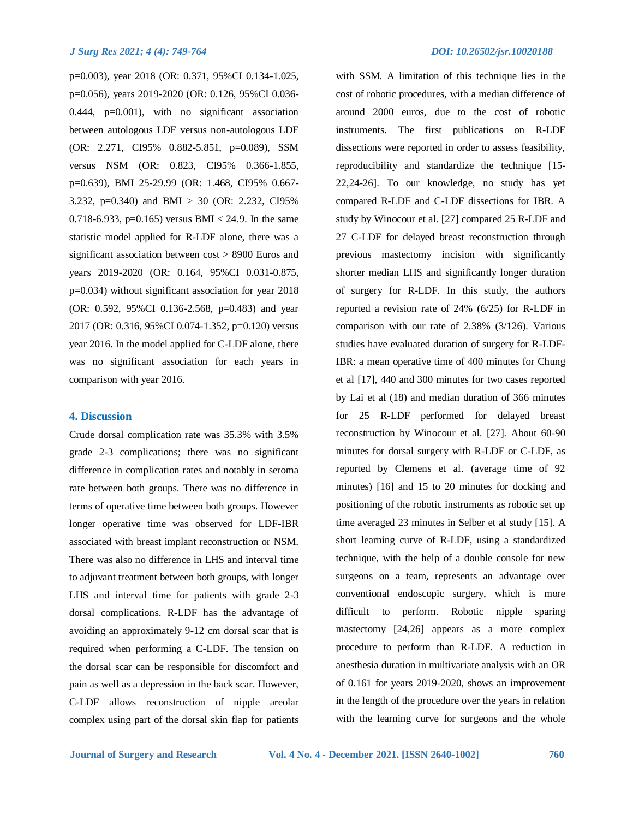p=0.003), year 2018 (OR: 0.371, 95%CI 0.134-1.025, p=0.056), years 2019-2020 (OR: 0.126, 95%CI 0.036- 0.444, p=0.001), with no significant association between autologous LDF versus non-autologous LDF (OR: 2.271, CI95% 0.882-5.851, p=0.089), SSM versus NSM (OR: 0.823, CI95% 0.366-1.855, p=0.639), BMI 25-29.99 (OR: 1.468, CI95% 0.667- 3.232, p=0.340) and BMI > 30 (OR: 2.232, CI95% 0.718-6.933, p=0.165) versus BMI < 24.9. In the same statistic model applied for R-LDF alone, there was a significant association between cost > 8900 Euros and years 2019-2020 (OR: 0.164, 95%CI 0.031-0.875, p=0.034) without significant association for year 2018 (OR: 0.592, 95%CI 0.136-2.568, p=0.483) and year 2017 (OR: 0.316, 95%CI 0.074-1.352, p=0.120) versus year 2016. In the model applied for C-LDF alone, there was no significant association for each years in comparison with year 2016.

# **4. Discussion**

Crude dorsal complication rate was 35.3% with 3.5% grade 2-3 complications; there was no significant difference in complication rates and notably in seroma rate between both groups. There was no difference in terms of operative time between both groups. However longer operative time was observed for LDF-IBR associated with breast implant reconstruction or NSM. There was also no difference in LHS and interval time to adjuvant treatment between both groups, with longer LHS and interval time for patients with grade 2-3 dorsal complications. R-LDF has the advantage of avoiding an approximately 9-12 cm dorsal scar that is required when performing a C-LDF. The tension on the dorsal scar can be responsible for discomfort and pain as well as a depression in the back scar. However, C-LDF allows reconstruction of nipple areolar complex using part of the dorsal skin flap for patients with SSM. A limitation of this technique lies in the cost of robotic procedures, with a median difference of around 2000 euros, due to the cost of robotic instruments. The first publications on R-LDF dissections were reported in order to assess feasibility, reproducibility and standardize the technique [15- 22,24-26]. To our knowledge, no study has yet compared R-LDF and C-LDF dissections for IBR. A study by Winocour et al. [27] compared 25 R-LDF and 27 C-LDF for delayed breast reconstruction through previous mastectomy incision with significantly shorter median LHS and significantly longer duration of surgery for R-LDF. In this study, the authors reported a revision rate of 24% (6/25) for R-LDF in comparison with our rate of 2.38% (3/126). Various studies have evaluated duration of surgery for R-LDF-IBR: a mean operative time of 400 minutes for Chung et al [17], 440 and 300 minutes for two cases reported by Lai et al (18) and median duration of 366 minutes for 25 R-LDF performed for delayed breast reconstruction by Winocour et al. [27]. About 60-90 minutes for dorsal surgery with R-LDF or C-LDF, as reported by Clemens et al. (average time of 92 minutes) [16] and 15 to 20 minutes for docking and positioning of the robotic instruments as robotic set up time averaged 23 minutes in Selber et al study [15]. A short learning curve of R-LDF, using a standardized technique, with the help of a double console for new surgeons on a team, represents an advantage over conventional endoscopic surgery, which is more difficult to perform. Robotic nipple sparing mastectomy [24,26] appears as a more complex procedure to perform than R-LDF. A reduction in anesthesia duration in multivariate analysis with an OR of 0.161 for years 2019-2020, shows an improvement in the length of the procedure over the years in relation with the learning curve for surgeons and the whole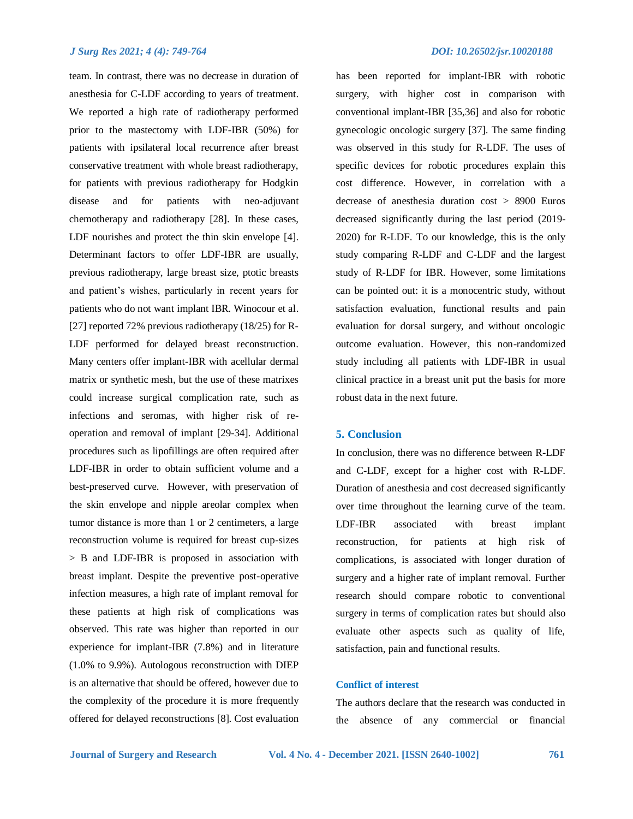team. In contrast, there was no decrease in duration of anesthesia for C-LDF according to years of treatment. We reported a high rate of radiotherapy performed prior to the mastectomy with LDF-IBR (50%) for patients with ipsilateral local recurrence after breast conservative treatment with whole breast radiotherapy, for patients with previous radiotherapy for Hodgkin disease and for patients with neo-adjuvant chemotherapy and radiotherapy [28]. In these cases, LDF nourishes and protect the thin skin envelope [4]. Determinant factors to offer LDF-IBR are usually, previous radiotherapy, large breast size, ptotic breasts and patient's wishes, particularly in recent years for patients who do not want implant IBR. Winocour et al. [27] reported 72% previous radiotherapy (18/25) for R-LDF performed for delayed breast reconstruction. Many centers offer implant-IBR with acellular dermal matrix or synthetic mesh, but the use of these matrixes could increase surgical complication rate, such as infections and seromas, with higher risk of reoperation and removal of implant [29-34]. Additional procedures such as lipofillings are often required after LDF-IBR in order to obtain sufficient volume and a best-preserved curve. However, with preservation of the skin envelope and nipple areolar complex when tumor distance is more than 1 or 2 centimeters, a large reconstruction volume is required for breast cup-sizes > B and LDF-IBR is proposed in association with breast implant. Despite the preventive post-operative infection measures, a high rate of implant removal for these patients at high risk of complications was observed. This rate was higher than reported in our experience for implant-IBR (7.8%) and in literature (1.0% to 9.9%). Autologous reconstruction with DIEP is an alternative that should be offered, however due to the complexity of the procedure it is more frequently offered for delayed reconstructions [8]. Cost evaluation has been reported for implant-IBR with robotic surgery, with higher cost in comparison with conventional implant-IBR [35,36] and also for robotic gynecologic oncologic surgery [37]. The same finding was observed in this study for R-LDF. The uses of specific devices for robotic procedures explain this cost difference. However, in correlation with a decrease of anesthesia duration cost > 8900 Euros decreased significantly during the last period (2019- 2020) for R-LDF. To our knowledge, this is the only study comparing R-LDF and C-LDF and the largest study of R-LDF for IBR. However, some limitations can be pointed out: it is a monocentric study, without satisfaction evaluation, functional results and pain evaluation for dorsal surgery, and without oncologic outcome evaluation. However, this non-randomized study including all patients with LDF-IBR in usual clinical practice in a breast unit put the basis for more robust data in the next future.

# **5. Conclusion**

In conclusion, there was no difference between R-LDF and C-LDF, except for a higher cost with R-LDF. Duration of anesthesia and cost decreased significantly over time throughout the learning curve of the team. LDF-IBR associated with breast implant reconstruction, for patients at high risk of complications, is associated with longer duration of surgery and a higher rate of implant removal. Further research should compare robotic to conventional surgery in terms of complication rates but should also evaluate other aspects such as quality of life, satisfaction, pain and functional results.

# **Conflict of interest**

The authors declare that the research was conducted in the absence of any commercial or financial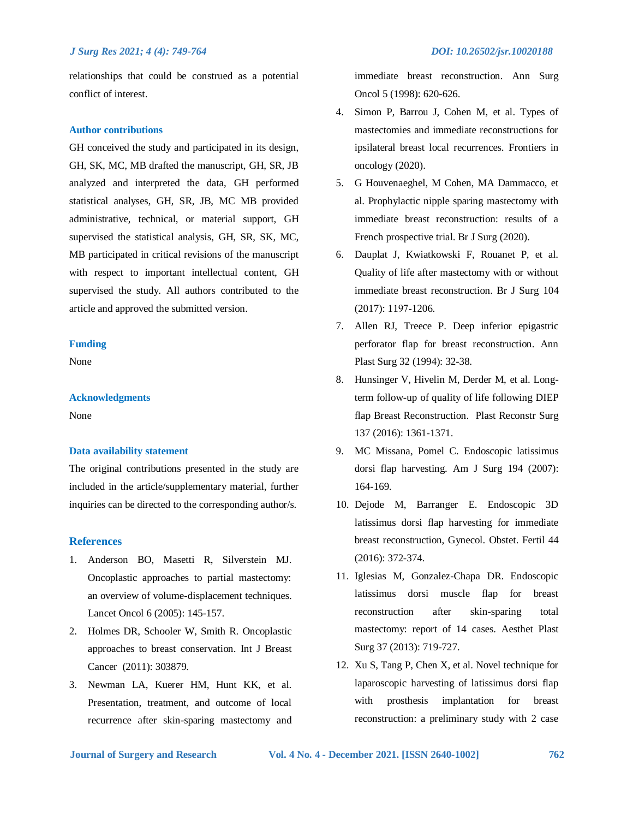relationships that could be construed as a potential conflict of interest.

# **Author contributions**

GH conceived the study and participated in its design, GH, SK, MC, MB drafted the manuscript, GH, SR, JB analyzed and interpreted the data, GH performed statistical analyses, GH, SR, JB, MC MB provided administrative, technical, or material support, GH supervised the statistical analysis, GH, SR, SK, MC, MB participated in critical revisions of the manuscript with respect to important intellectual content, GH supervised the study. All authors contributed to the article and approved the submitted version.

# **Funding**

None

# **Acknowledgments**

None

# **Data availability statement**

The original contributions presented in the study are included in the article/supplementary material, further inquiries can be directed to the corresponding author/s.

# **References**

- 1. Anderson BO, Masetti R, Silverstein MJ. Oncoplastic approaches to partial mastectomy: an overview of volume-displacement techniques. Lancet Oncol 6 (2005): 145-157.
- 2. Holmes DR, Schooler W, Smith R. Oncoplastic approaches to breast conservation. Int J Breast Cancer (2011): 303879.
- 3. Newman LA, Kuerer HM, Hunt KK, et al. Presentation, treatment, and outcome of local recurrence after skin-sparing mastectomy and

immediate breast reconstruction. Ann Surg Oncol 5 (1998): 620-626.

- 4. Simon P, Barrou J, Cohen M, et al. Types of mastectomies and immediate reconstructions for ipsilateral breast local recurrences. Frontiers in oncology (2020).
- 5. G Houvenaeghel, M Cohen, MA Dammacco, et al. Prophylactic nipple sparing mastectomy with immediate breast reconstruction: results of a French prospective trial. Br J Surg (2020).
- 6. Dauplat J, Kwiatkowski F, Rouanet P, et al. Quality of life after mastectomy with or without immediate breast reconstruction. Br J Surg 104 (2017): 1197‑1206.
- 7. Allen RJ, Treece P. Deep inferior epigastric perforator flap for breast reconstruction. Ann Plast Surg 32 (1994): 32-38.
- 8. Hunsinger V, Hivelin M, Derder M, et al. Longterm follow-up of quality of life following DIEP flap Breast Reconstruction. Plast Reconstr Surg 137 (2016): 1361-1371.
- 9. MC Missana, Pomel C. Endoscopic latissimus dorsi flap harvesting. Am J Surg 194 (2007): 164-169.
- 10. Dejode M, Barranger E. Endoscopic 3D latissimus dorsi flap harvesting for immediate breast reconstruction, Gynecol. Obstet. Fertil 44 (2016): 372-374.
- 11. Iglesias M, Gonzalez-Chapa DR. Endoscopic latissimus dorsi muscle flap for breast reconstruction after skin-sparing total mastectomy: report of 14 cases. Aesthet Plast Surg 37 (2013): 719-727.
- 12. Xu S, Tang P, Chen X, et al. Novel technique for laparoscopic harvesting of latissimus dorsi flap with prosthesis implantation for breast reconstruction: a preliminary study with 2 case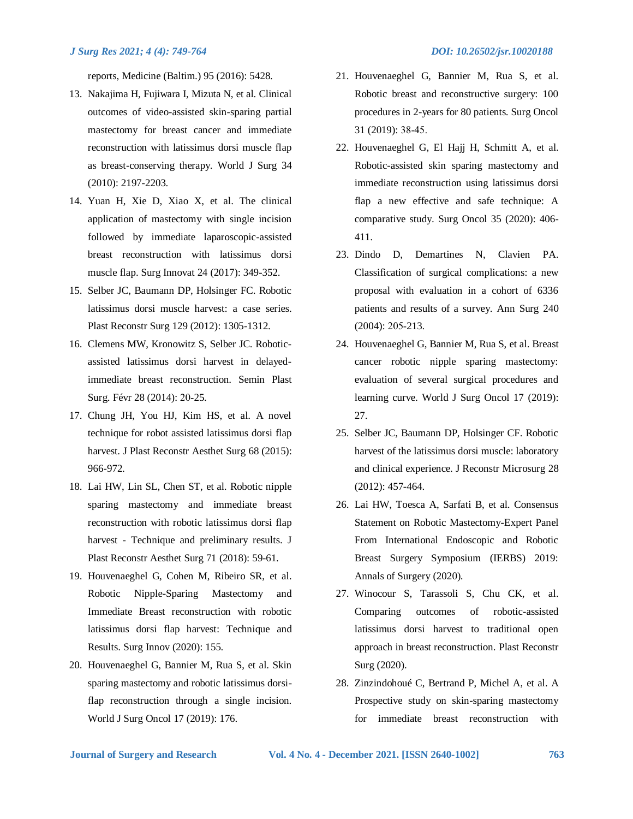reports, Medicine (Baltim.) 95 (2016): 5428.

- 13. Nakajima H, Fujiwara I, Mizuta N, et al. Clinical outcomes of video-assisted skin-sparing partial mastectomy for breast cancer and immediate reconstruction with latissimus dorsi muscle flap as breast-conserving therapy. World J Surg 34 (2010): 2197-2203.
- 14. Yuan H, Xie D, Xiao X, et al. The clinical application of mastectomy with single incision followed by immediate laparoscopic-assisted breast reconstruction with latissimus dorsi muscle flap. Surg Innovat 24 (2017): 349-352.
- 15. Selber JC, Baumann DP, Holsinger FC. Robotic latissimus dorsi muscle harvest: a case series. Plast Reconstr Surg 129 (2012): 1305-1312.
- 16. Clemens MW, Kronowitz S, Selber JC. Roboticassisted latissimus dorsi harvest in delayedimmediate breast reconstruction. Semin Plast Surg. Févr 28 (2014): 20‑25.
- 17. Chung JH, You HJ, Kim HS, et al. A novel technique for robot assisted latissimus dorsi flap harvest. J Plast Reconstr Aesthet Surg 68 (2015): 966-972.
- 18. Lai HW, Lin SL, Chen ST, et al. Robotic nipple sparing mastectomy and immediate breast reconstruction with robotic latissimus dorsi flap harvest - Technique and preliminary results. J Plast Reconstr Aesthet Surg 71 (2018): 59-61.
- 19. Houvenaeghel G, Cohen M, Ribeiro SR, et al. Robotic Nipple-Sparing Mastectomy and Immediate Breast reconstruction with robotic latissimus dorsi flap harvest: Technique and Results. Surg Innov (2020): 155.
- 20. Houvenaeghel G, Bannier M, Rua S, et al. Skin sparing mastectomy and robotic latissimus dorsiflap reconstruction through a single incision. World J Surg Oncol 17 (2019): 176.
- 21. Houvenaeghel G, Bannier M, Rua S, et al. Robotic breast and reconstructive surgery: 100 procedures in 2-years for 80 patients. Surg Oncol 31 (2019): 38‑45.
- 22. Houvenaeghel G, El Hajj H, Schmitt A, et al. Robotic-assisted skin sparing mastectomy and immediate reconstruction using latissimus dorsi flap a new effective and safe technique: A comparative study. Surg Oncol 35 (2020): 406- 411.
- 23. Dindo D, Demartines N, Clavien PA. Classification of surgical complications: a new proposal with evaluation in a cohort of 6336 patients and results of a survey. Ann Surg 240 (2004): 205‑213.
- 24. Houvenaeghel G, Bannier M, Rua S, et al. Breast cancer robotic nipple sparing mastectomy: evaluation of several surgical procedures and learning curve. World J Surg Oncol 17 (2019): 27.
- 25. Selber JC, Baumann DP, Holsinger CF. Robotic harvest of the latissimus dorsi muscle: laboratory and clinical experience. J Reconstr Microsurg 28 (2012): 457-464.
- 26. Lai HW, Toesca A, Sarfati B, et al. Consensus Statement on Robotic Mastectomy-Expert Panel From International Endoscopic and Robotic Breast Surgery Symposium (IERBS) 2019: Annals of Surgery (2020).
- 27. Winocour S, Tarassoli S, Chu CK, et al. Comparing outcomes of robotic-assisted latissimus dorsi harvest to traditional open approach in breast reconstruction. Plast Reconstr Surg (2020).
- 28. Zinzindohoué C, Bertrand P, Michel A, et al. A Prospective study on skin-sparing mastectomy for immediate breast reconstruction with